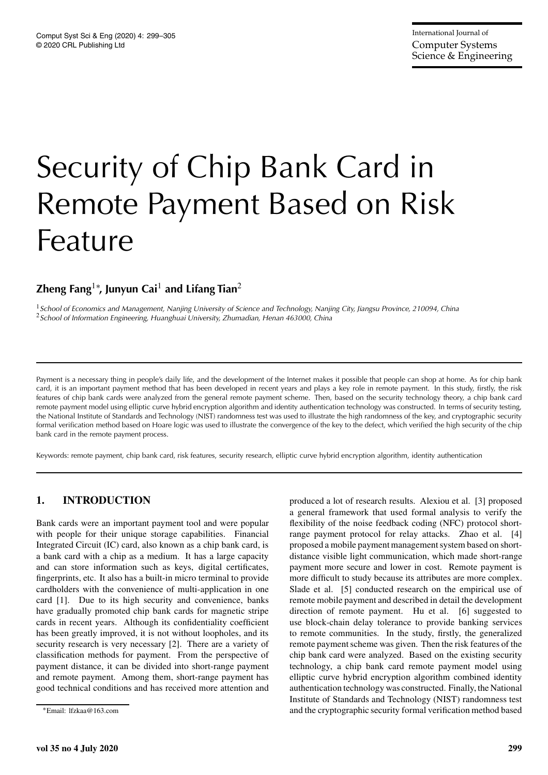# Security of Chip Bank Card in Remote Payment Based on Risk Feature

# **Zheng Fang**1<sup>∗</sup> **, Junyun Cai**<sup>1</sup> **and Lifang Tian**<sup>2</sup>

<sup>1</sup>*School of Economics and Management, Nanjing University of Science and Technology, Nanjing City, Jiangsu Province, 210094, China* <sup>2</sup>*School of Information Engineering, Huanghuai University, Zhumadian, Henan 463000, China*

Payment is a necessary thing in people's daily life, and the development of the Internet makes it possible that people can shop at home. As for chip bank card, it is an important payment method that has been developed in recent years and plays a key role in remote payment. In this study, firstly, the risk features of chip bank cards were analyzed from the general remote payment scheme. Then, based on the security technology theory, a chip bank card remote payment model using elliptic curve hybrid encryption algorithm and identity authentication technology was constructed. In terms of security testing, the National Institute of Standards and Technology (NIST) randomness test was used to illustrate the high randomness of the key, and cryptographic security formal verification method based on Hoare logic was used to illustrate the convergence of the key to the defect, which verified the high security of the chip bank card in the remote payment process.

Keywords: remote payment, chip bank card, risk features, security research, elliptic curve hybrid encryption algorithm, identity authentication

# **1. INTRODUCTION**

Bank cards were an important payment tool and were popular with people for their unique storage capabilities. Financial Integrated Circuit (IC) card, also known as a chip bank card, is a bank card with a chip as a medium. It has a large capacity and can store information such as keys, digital certificates, fingerprints, etc. It also has a built-in micro terminal to provide cardholders with the convenience of multi-application in one card [1]. Due to its high security and convenience, banks have gradually promoted chip bank cards for magnetic stripe cards in recent years. Although its confidentiality coefficient has been greatly improved, it is not without loopholes, and its security research is very necessary [2]. There are a variety of classification methods for payment. From the perspective of payment distance, it can be divided into short-range payment and remote payment. Among them, short-range payment has good technical conditions and has received more attention and produced a lot of research results. Alexiou et al. [3] proposed a general framework that used formal analysis to verify the flexibility of the noise feedback coding (NFC) protocol shortrange payment protocol for relay attacks. Zhao et al. [4] proposed a mobile payment management system based on shortdistance visible light communication, which made short-range payment more secure and lower in cost. Remote payment is more difficult to study because its attributes are more complex. Slade et al. [5] conducted research on the empirical use of remote mobile payment and described in detail the development direction of remote payment. Hu et al. [6] suggested to use block-chain delay tolerance to provide banking services to remote communities. In the study, firstly, the generalized remote payment scheme was given. Then the risk features of the chip bank card were analyzed. Based on the existing security technology, a chip bank card remote payment model using elliptic curve hybrid encryption algorithm combined identity authentication technology was constructed. Finally, the National Institute of Standards and Technology (NIST) randomness test and the cryptographic security formal verification method based

<sup>∗</sup>Email: lfzkaa@163.com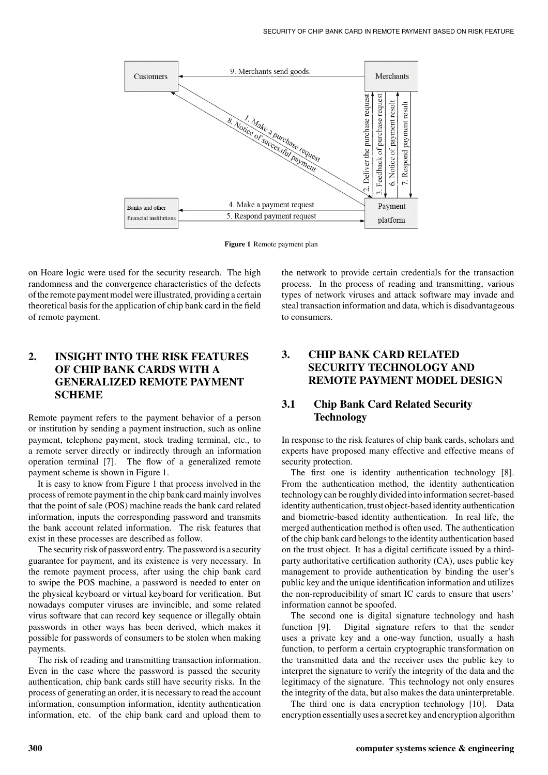

**Figure 1** Remote payment plan

on Hoare logic were used for the security research. The high randomness and the convergence characteristics of the defects of the remote payment model were illustrated, providing a certain theoretical basis for the application of chip bank card in the field of remote payment.

# **2. INSIGHT INTO THE RISK FEATURES OF CHIP BANK CARDS WITH A GENERALIZED REMOTE PAYMENT SCHEME**

Remote payment refers to the payment behavior of a person or institution by sending a payment instruction, such as online payment, telephone payment, stock trading terminal, etc., to a remote server directly or indirectly through an information operation terminal [7]. The flow of a generalized remote payment scheme is shown in Figure 1.

It is easy to know from Figure 1 that process involved in the process of remote payment in the chip bank card mainly involves that the point of sale (POS) machine reads the bank card related information, inputs the corresponding password and transmits the bank account related information. The risk features that exist in these processes are described as follow.

The security risk of password entry. The password is a security guarantee for payment, and its existence is very necessary. In the remote payment process, after using the chip bank card to swipe the POS machine, a password is needed to enter on the physical keyboard or virtual keyboard for verification. But nowadays computer viruses are invincible, and some related virus software that can record key sequence or illegally obtain passwords in other ways has been derived, which makes it possible for passwords of consumers to be stolen when making payments.

The risk of reading and transmitting transaction information. Even in the case where the password is passed the security authentication, chip bank cards still have security risks. In the process of generating an order, it is necessary to read the account information, consumption information, identity authentication information, etc. of the chip bank card and upload them to

the network to provide certain credentials for the transaction process. In the process of reading and transmitting, various types of network viruses and attack software may invade and steal transaction information and data, which is disadvantageous to consumers.

# **3. CHIP BANK CARD RELATED SECURITY TECHNOLOGY AND REMOTE PAYMENT MODEL DESIGN**

# **3.1 Chip Bank Card Related Security Technology**

In response to the risk features of chip bank cards, scholars and experts have proposed many effective and effective means of security protection.

The first one is identity authentication technology [8]. From the authentication method, the identity authentication technology can be roughly divided into information secret-based identity authentication, trust object-based identity authentication and biometric-based identity authentication. In real life, the merged authentication method is often used. The authentication of the chip bank card belongs to the identity authentication based on the trust object. It has a digital certificate issued by a thirdparty authoritative certification authority (CA), uses public key management to provide authentication by binding the user's public key and the unique identification information and utilizes the non-reproducibility of smart IC cards to ensure that users' information cannot be spoofed.

The second one is digital signature technology and hash function [9]. Digital signature refers to that the sender uses a private key and a one-way function, usually a hash function, to perform a certain cryptographic transformation on the transmitted data and the receiver uses the public key to interpret the signature to verify the integrity of the data and the legitimacy of the signature. This technology not only ensures the integrity of the data, but also makes the data uninterpretable.

The third one is data encryption technology [10]. Data encryption essentially uses a secret key and encryption algorithm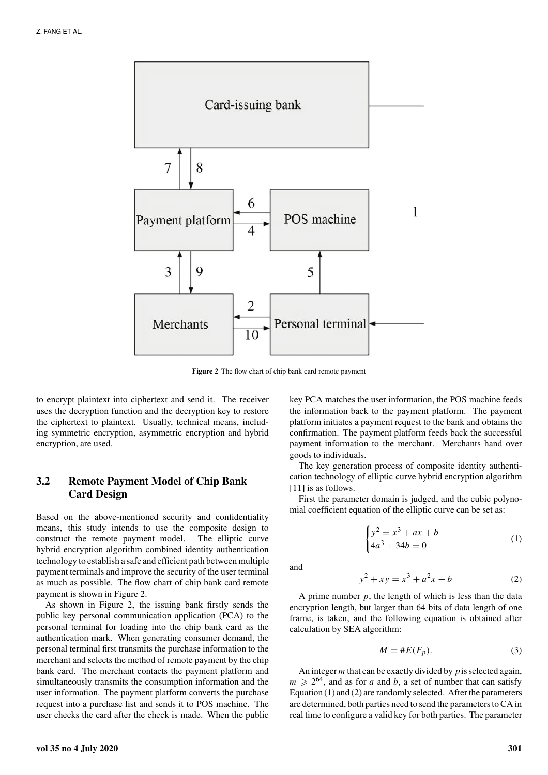

**Figure 2** The flow chart of chip bank card remote payment

to encrypt plaintext into ciphertext and send it. The receiver uses the decryption function and the decryption key to restore the ciphertext to plaintext. Usually, technical means, including symmetric encryption, asymmetric encryption and hybrid encryption, are used.

## **3.2 Remote Payment Model of Chip Bank Card Design**

Based on the above-mentioned security and confidentiality means, this study intends to use the composite design to construct the remote payment model. The elliptic curve hybrid encryption algorithm combined identity authentication technology to establish a safe and efficient path between multiple payment terminals and improve the security of the user terminal as much as possible. The flow chart of chip bank card remote payment is shown in Figure 2.

As shown in Figure 2, the issuing bank firstly sends the public key personal communication application (PCA) to the personal terminal for loading into the chip bank card as the authentication mark. When generating consumer demand, the personal terminal first transmits the purchase information to the merchant and selects the method of remote payment by the chip bank card. The merchant contacts the payment platform and simultaneously transmits the consumption information and the user information. The payment platform converts the purchase request into a purchase list and sends it to POS machine. The user checks the card after the check is made. When the public

key PCA matches the user information, the POS machine feeds the information back to the payment platform. The payment platform initiates a payment request to the bank and obtains the confirmation. The payment platform feeds back the successful payment information to the merchant. Merchants hand over goods to individuals.

The key generation process of composite identity authentication technology of elliptic curve hybrid encryption algorithm [11] is as follows.

First the parameter domain is judged, and the cubic polynomial coefficient equation of the elliptic curve can be set as:

$$
\begin{cases} y^2 = x^3 + ax + b \\ 4a^3 + 34b = 0 \end{cases}
$$
 (1)

and

$$
y^2 + xy = x^3 + a^2x + b \tag{2}
$$

A prime number *p*, the length of which is less than the data encryption length, but larger than 64 bits of data length of one frame, is taken, and the following equation is obtained after calculation by SEA algorithm:

$$
M = \#E(F_p). \tag{3}
$$

An integer *m* that can be exactly divided by *p*is selected again,  $m \geq 2^{64}$ , and as for *a* and *b*, a set of number that can satisfy Equation (1) and (2) are randomly selected. After the parameters are determined, both parties need to send the parameters to CA in real time to configure a valid key for both parties. The parameter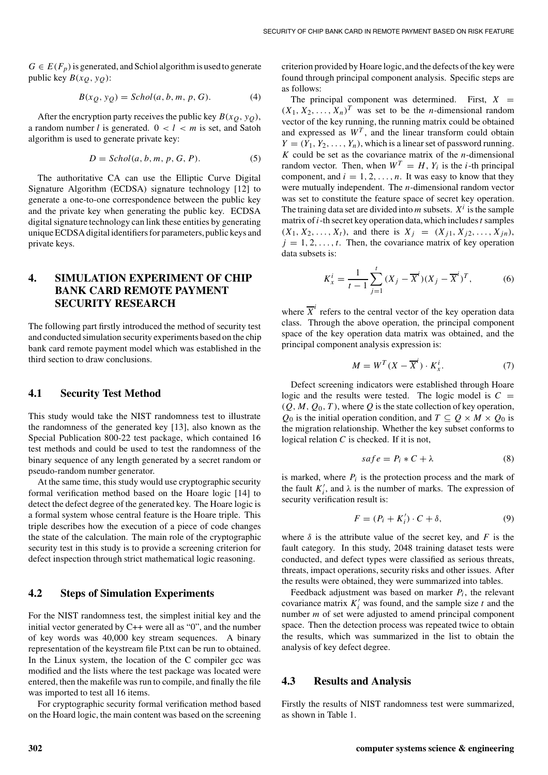$G \in E(F_p)$  is generated, and Schiol algorithm is used to generate public key  $B(x_Q, y_Q)$ :

$$
B(x_Q, y_Q) = Schol(a, b, m, p, G). \tag{4}
$$

After the encryption party receives the public key  $B(x_0, y_0)$ , a random number *l* is generated.  $0 < l < m$  is set, and Satoh algorithm is used to generate private key:

$$
D = Schol(a, b, m, p, G, P). \tag{5}
$$

The authoritative CA can use the Elliptic Curve Digital Signature Algorithm (ECDSA) signature technology [12] to generate a one-to-one correspondence between the public key and the private key when generating the public key. ECDSA digital signature technology can link these entities by generating unique ECDSA digital identifiers for parameters, public keys and private keys.

## **4. SIMULATION EXPERIMENT OF CHIP BANK CARD REMOTE PAYMENT SECURITY RESEARCH**

The following part firstly introduced the method of security test and conducted simulation security experiments based on the chip bank card remote payment model which was established in the third section to draw conclusions.

#### **4.1 Security Test Method**

This study would take the NIST randomness test to illustrate the randomness of the generated key [13], also known as the Special Publication 800-22 test package, which contained 16 test methods and could be used to test the randomness of the binary sequence of any length generated by a secret random or pseudo-random number generator.

At the same time, this study would use cryptographic security formal verification method based on the Hoare logic [14] to detect the defect degree of the generated key. The Hoare logic is a formal system whose central feature is the Hoare triple. This triple describes how the execution of a piece of code changes the state of the calculation. The main role of the cryptographic security test in this study is to provide a screening criterion for defect inspection through strict mathematical logic reasoning.

#### **4.2 Steps of Simulation Experiments**

For the NIST randomness test, the simplest initial key and the initial vector generated by C++ were all as "0", and the number of key words was 40,000 key stream sequences. A binary representation of the keystream file P.txt can be run to obtained. In the Linux system, the location of the C compiler gcc was modified and the lists where the test package was located were entered, then the makefile was run to compile, and finally the file was imported to test all 16 items.

For cryptographic security formal verification method based on the Hoard logic, the main content was based on the screening criterion provided by Hoare logic, and the defects of the key were found through principal component analysis. Specific steps are as follows:

The principal component was determined. First,  $X =$  $(X_1, X_2, \ldots, X_n)^T$  was set to be the *n*-dimensional random vector of the key running, the running matrix could be obtained and expressed as  $W^T$ , and the linear transform could obtain  $Y = (Y_1, Y_2, \ldots, Y_n)$ , which is a linear set of password running. *K* could be set as the covariance matrix of the *n*-dimensional random vector. Then, when  $W^T = H$ ,  $Y_i$  is the *i*-th principal component, and  $i = 1, 2, \ldots, n$ . It was easy to know that they were mutually independent. The *n*-dimensional random vector was set to constitute the feature space of secret key operation. The training data set are divided into  $m$  subsets.  $X^i$  is the sample matrix of*i*-th secret key operation data,which includes*t* samples  $(X_1, X_2, \ldots, X_t)$ , and there is  $X_j = (X_{j1}, X_{j2}, \ldots, X_{jn})$ ,  $j = 1, 2, \ldots, t$ . Then, the covariance matrix of key operation data subsets is:

$$
K_x^i = \frac{1}{t-1} \sum_{j=1}^t (X_j - \overline{X}^i)(X_j - \overline{X}^i)^T, \tag{6}
$$

where  $\overline{X}^i$  refers to the central vector of the key operation data class. Through the above operation, the principal component space of the key operation data matrix was obtained, and the principal component analysis expression is:

$$
M = W^T (X - \overline{X}^i) \cdot K_x^i. \tag{7}
$$

Defect screening indicators were established through Hoare logic and the results were tested. The logic model is  $C =$  $(Q, M, Q_0, T)$ , where  $Q$  is the state collection of key operation, *Q*<sub>0</sub> is the initial operation condition, and  $T \subseteq Q \times M \times Q_0$  is the migration relationship. Whether the key subset conforms to logical relation *C* is checked. If it is not,

$$
safe = P_i * C + \lambda \tag{8}
$$

is marked, where  $P_i$  is the protection process and the mark of the fault  $K_i'$ , and  $\lambda$  is the number of marks. The expression of security verification result is:

$$
F = (P_i + K'_i) \cdot C + \delta,\tag{9}
$$

where  $\delta$  is the attribute value of the secret key, and *F* is the fault category. In this study, 2048 training dataset tests were conducted, and defect types were classified as serious threats, threats, impact operations, security risks and other issues. After the results were obtained, they were summarized into tables.

Feedback adjustment was based on marker  $P_i$ , the relevant covariance matrix  $K_i'$  was found, and the sample size  $t$  and the number *m* of set were adjusted to amend principal component space. Then the detection process was repeated twice to obtain the results, which was summarized in the list to obtain the analysis of key defect degree.

#### **4.3 Results and Analysis**

Firstly the results of NIST randomness test were summarized, as shown in Table 1.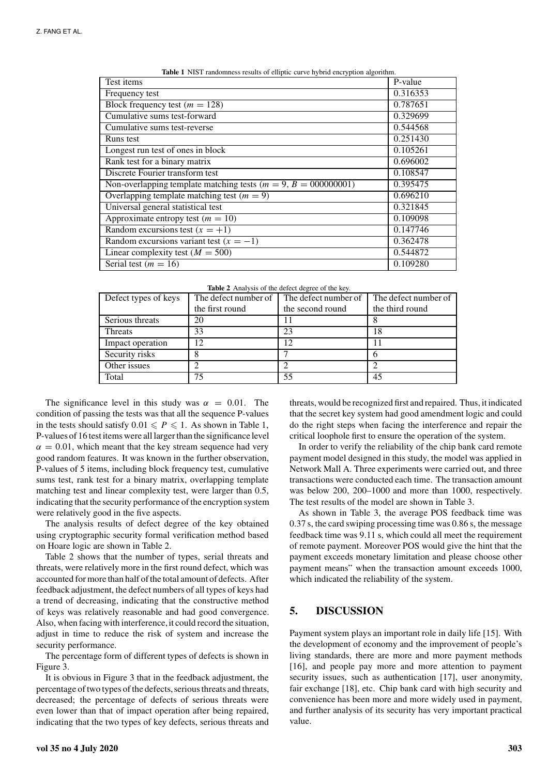| Test items                                                       | P-value  |
|------------------------------------------------------------------|----------|
| Frequency test                                                   | 0.316353 |
| Block frequency test $(m = 128)$                                 | 0.787651 |
| Cumulative sums test-forward                                     | 0.329699 |
| Cumulative sums test-reverse                                     | 0.544568 |
| Runs test                                                        | 0.251430 |
| Longest run test of ones in block                                | 0.105261 |
| Rank test for a binary matrix                                    | 0.696002 |
| Discrete Fourier transform test                                  | 0.108547 |
| Non-overlapping template matching tests $(m = 9, B = 000000001)$ | 0.395475 |
| Overlapping template matching test $(m = 9)$                     | 0.696210 |
| Universal general statistical test                               | 0.321845 |
| Approximate entropy test ( $m = 10$ )                            | 0.109098 |
| Random excursions test $(x = +1)$                                | 0.147746 |
| Random excursions variant test $(x = -1)$                        | 0.362478 |
| Linear complexity test ( $M = 500$ )                             | 0.544872 |
| Serial test ( $m = 16$ )                                         | 0.109280 |

|  |  | Table 1 NIST randomness results of elliptic curve hybrid encryption algorithm. |  |  |  |  |  |  |
|--|--|--------------------------------------------------------------------------------|--|--|--|--|--|--|
|--|--|--------------------------------------------------------------------------------|--|--|--|--|--|--|

| Table 2 Analysis of the defect degree of the key. |  |  |  |
|---------------------------------------------------|--|--|--|
|                                                   |  |  |  |

| Defect types of keys | The defect number of | The defect number of | The defect number of |  |  |
|----------------------|----------------------|----------------------|----------------------|--|--|
|                      | the first round      | the second round     | the third round      |  |  |
| Serious threats      | 20                   |                      |                      |  |  |
| Threats              | 33                   | 23                   | 18                   |  |  |
| Impact operation     | 12                   |                      |                      |  |  |
| Security risks       | 8                    |                      |                      |  |  |
| Other issues         |                      |                      |                      |  |  |
| Total                | 75                   | 55                   | 45                   |  |  |

The significance level in this study was  $\alpha = 0.01$ . The condition of passing the tests was that all the sequence P-values in the tests should satisfy  $0.01 \leq P \leq 1$ . As shown in Table 1, P-values of 16 test items were all larger than the significance level  $\alpha = 0.01$ , which meant that the key stream sequence had very good random features. It was known in the further observation, P-values of 5 items, including block frequency test, cumulative sums test, rank test for a binary matrix, overlapping template matching test and linear complexity test, were larger than 0.5, indicating that the security performance of the encryption system were relatively good in the five aspects.

The analysis results of defect degree of the key obtained using cryptographic security formal verification method based on Hoare logic are shown in Table 2.

Table 2 shows that the number of types, serial threats and threats, were relatively more in the first round defect, which was accounted for more than half of the total amount of defects. After feedback adjustment, the defect numbers of all types of keys had a trend of decreasing, indicating that the constructive method of keys was relatively reasonable and had good convergence. Also, when facing with interference, it could record the situation, adjust in time to reduce the risk of system and increase the security performance.

The percentage form of different types of defects is shown in Figure 3.

It is obvious in Figure 3 that in the feedback adjustment, the percentage of two types of the defects, serious threats and threats, decreased; the percentage of defects of serious threats were even lower than that of impact operation after being repaired, indicating that the two types of key defects, serious threats and

threats, would be recognized first and repaired. Thus, it indicated that the secret key system had good amendment logic and could do the right steps when facing the interference and repair the critical loophole first to ensure the operation of the system.

In order to verify the reliability of the chip bank card remote payment model designed in this study, the model was applied in Network Mall A. Three experiments were carried out, and three transactions were conducted each time. The transaction amount was below 200, 200–1000 and more than 1000, respectively. The test results of the model are shown in Table 3.

As shown in Table 3, the average POS feedback time was 0.37 s, the card swiping processing time was 0.86 s, the message feedback time was 9.11 s, which could all meet the requirement of remote payment. Moreover POS would give the hint that the payment exceeds monetary limitation and please choose other payment means" when the transaction amount exceeds 1000, which indicated the reliability of the system.

#### **5. DISCUSSION**

Payment system plays an important role in daily life [15]. With the development of economy and the improvement of people's living standards, there are more and more payment methods [16], and people pay more and more attention to payment security issues, such as authentication [17], user anonymity, fair exchange [18], etc. Chip bank card with high security and convenience has been more and more widely used in payment, and further analysis of its security has very important practical value.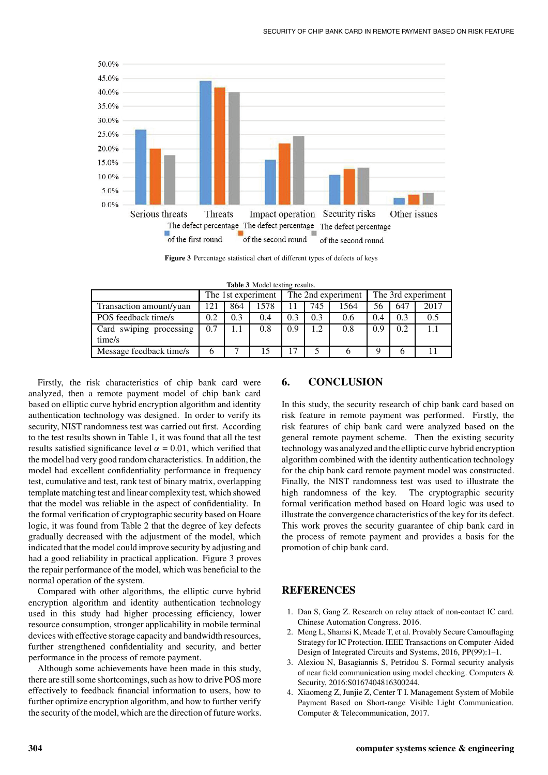

**Figure 3** Percentage statistical chart of different types of defects of keys

|  |  | Table 3 Model testing results. |  |
|--|--|--------------------------------|--|
|--|--|--------------------------------|--|

|                         | The 1st experiment |     |      | The 2nd experiment |     |      | The 3rd experiment |     |      |
|-------------------------|--------------------|-----|------|--------------------|-----|------|--------------------|-----|------|
| Transaction amount/yuan | 121                | 864 | 1578 |                    | 745 | 1564 | 56                 | 647 | 2017 |
| POS feedback time/s     | 0.2                | 0.3 | 0.4  | 0.3                | 0.3 | 0.6  | 0.4                | 0.3 | 0.5  |
| Card swiping processing | 0.7                | 1.1 | 0.8  | 0.9                | 1.2 | 0.8  | 0.9                | 0.2 |      |
| time/s                  |                    |     |      |                    |     |      |                    |     |      |
| Message feedback time/s |                    |     |      | 17                 |     |      |                    |     |      |

Firstly, the risk characteristics of chip bank card were analyzed, then a remote payment model of chip bank card based on elliptic curve hybrid encryption algorithm and identity authentication technology was designed. In order to verify its security, NIST randomness test was carried out first. According to the test results shown in Table 1, it was found that all the test results satisfied significance level  $\alpha = 0.01$ , which verified that the model had very good random characteristics. In addition, the model had excellent confidentiality performance in frequency test, cumulative and test, rank test of binary matrix, overlapping template matching test and linear complexity test, which showed that the model was reliable in the aspect of confidentiality. In the formal verification of cryptographic security based on Hoare logic, it was found from Table 2 that the degree of key defects gradually decreased with the adjustment of the model, which indicated that the model could improve security by adjusting and had a good reliability in practical application. Figure 3 proves the repair performance of the model, which was beneficial to the normal operation of the system.

Compared with other algorithms, the elliptic curve hybrid encryption algorithm and identity authentication technology used in this study had higher processing efficiency, lower resource consumption, stronger applicability in mobile terminal devices with effective storage capacity and bandwidth resources, further strengthened confidentiality and security, and better performance in the process of remote payment.

Although some achievements have been made in this study, there are still some shortcomings, such as how to drive POS more effectively to feedback financial information to users, how to further optimize encryption algorithm, and how to further verify the security of the model, which are the direction of future works.

#### **6. CONCLUSION**

In this study, the security research of chip bank card based on risk feature in remote payment was performed. Firstly, the risk features of chip bank card were analyzed based on the general remote payment scheme. Then the existing security technology was analyzed and the elliptic curve hybrid encryption algorithm combined with the identity authentication technology for the chip bank card remote payment model was constructed. Finally, the NIST randomness test was used to illustrate the high randomness of the key. The cryptographic security formal verification method based on Hoard logic was used to illustrate the convergence characteristics of the key for its defect. This work proves the security guarantee of chip bank card in the process of remote payment and provides a basis for the promotion of chip bank card.

#### **REFERENCES**

- 1. Dan S, Gang Z. Research on relay attack of non-contact IC card. Chinese Automation Congress. 2016.
- 2. Meng L, Shamsi K, Meade T, et al. Provably Secure Camouflaging Strategy for IC Protection. IEEE Transactions on Computer-Aided Design of Integrated Circuits and Systems, 2016, PP(99):1–1.
- 3. Alexiou N, Basagiannis S, Petridou S. Formal security analysis of near field communication using model checking. Computers & Security, 2016:S0167404816300244.
- 4. Xiaomeng Z, Junjie Z, Center T I. Management System of Mobile Payment Based on Short-range Visible Light Communication. Computer & Telecommunication, 2017.